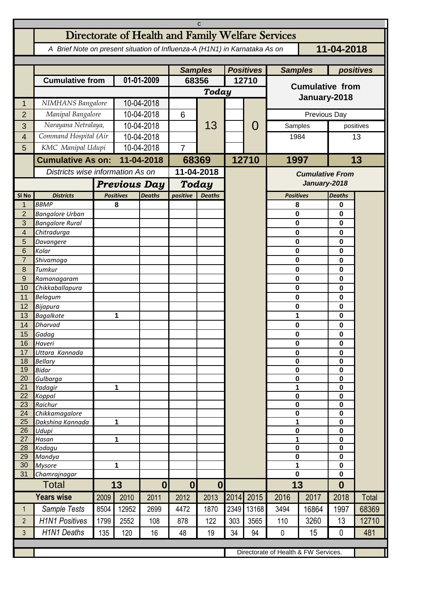| C                   |                                                                                          |                                  |                       |                          |                        |               |                  |       |                                        |                        |                            |              |  |
|---------------------|------------------------------------------------------------------------------------------|----------------------------------|-----------------------|--------------------------|------------------------|---------------|------------------|-------|----------------------------------------|------------------------|----------------------------|--------------|--|
|                     | Directorate of Health and Family Welfare Services                                        |                                  |                       |                          |                        |               |                  |       |                                        |                        |                            |              |  |
|                     | 11-04-2018<br>A Brief Note on present situation of Influenza-A (H1N1) in Karnataka As on |                                  |                       |                          |                        |               |                  |       |                                        |                        |                            |              |  |
|                     |                                                                                          |                                  |                       |                          | <b>Samples</b>         |               | <b>Positives</b> |       | <b>Samples</b>                         |                        | positives                  |              |  |
|                     | <b>Cumulative from</b>                                                                   |                                  | 01-01-2009            |                          | 68356                  |               | 12710            |       |                                        |                        |                            |              |  |
|                     |                                                                                          |                                  |                       |                          | Today                  |               |                  |       | <b>Cumulative from</b><br>January-2018 |                        |                            |              |  |
| 1                   | NIMHANS Bangalore                                                                        |                                  | 10-04-2018            |                          |                        |               |                  |       |                                        |                        |                            |              |  |
| $\overline{2}$      | Manipal Bangalore                                                                        |                                  | 10-04-2018            |                          | 6                      |               |                  |       | Previous Day                           |                        |                            |              |  |
| 3                   | Narayana Netralaya,                                                                      |                                  | 10-04-2018            |                          |                        | 13            |                  | O     | Samples                                | positives              |                            |              |  |
| 4                   |                                                                                          | Command Hospital (Air            |                       | 10-04-2018               |                        |               |                  |       | 1984                                   |                        | 13                         |              |  |
| 5                   | KMC Manipal Udupi                                                                        |                                  | 10-04-2018            |                          | $\overline{7}$         |               |                  |       |                                        |                        |                            |              |  |
|                     | <b>Cumulative As on:</b>                                                                 |                                  | 11-04-2018            |                          |                        | 68369         |                  | 12710 | 1997                                   |                        | 13                         |              |  |
|                     |                                                                                          | Districts wise information As on |                       |                          | 11-04-2018             |               |                  |       |                                        | <b>Cumulative From</b> |                            |              |  |
|                     |                                                                                          |                                  | <b>Previous Day</b>   |                          |                        | Today         |                  |       |                                        | January-2018           |                            |              |  |
| SI <sub>No</sub>    | <b>Districts</b>                                                                         |                                  | <b>Positives</b><br>8 | <b>Deaths</b>            | positive               | <b>Deaths</b> |                  |       | <b>Positives</b>                       |                        | <b>Deaths</b>              |              |  |
| 1<br>$\overline{2}$ | <b>BBMP</b><br><b>Bangalore Urban</b>                                                    |                                  |                       |                          |                        |               |                  |       | 8<br>$\mathbf 0$                       |                        | 0<br>0                     |              |  |
| 3                   | <b>Bangalore Rural</b>                                                                   |                                  |                       |                          |                        |               |                  |       | 0                                      |                        | 0                          |              |  |
| 4                   | Chitradurga                                                                              |                                  |                       |                          |                        |               |                  |       | 0                                      |                        | 0                          |              |  |
| 5                   | Davangere                                                                                |                                  |                       |                          |                        |               |                  |       | $\bf{0}$                               |                        | 0                          |              |  |
| 6<br>$\overline{7}$ | Kolar<br>Shivamoga                                                                       |                                  |                       |                          |                        |               |                  |       | 0<br>0                                 |                        | 0<br>0                     |              |  |
| 8                   | Tumkur                                                                                   |                                  |                       |                          |                        |               |                  |       | 0                                      |                        | 0                          |              |  |
| 9                   | Ramanagaram                                                                              |                                  |                       |                          |                        |               |                  |       | 0                                      |                        | 0                          |              |  |
| 10                  | Chikkaballapura                                                                          |                                  |                       |                          |                        |               |                  |       | 0                                      |                        | $\mathbf 0$                |              |  |
| 11                  | Belagum                                                                                  |                                  |                       |                          |                        |               |                  |       | $\bf{0}$                               |                        | 0                          |              |  |
| 12<br>13            | Bijapura<br><b>Bagalkote</b>                                                             |                                  | 1                     |                          |                        |               |                  |       | 0<br>1                                 |                        | 0<br>$\bf{0}$              |              |  |
| 14                  | <b>Dharvad</b>                                                                           |                                  |                       |                          |                        |               |                  |       | 0                                      |                        | 0                          |              |  |
| 15 <sup>15</sup>    | Gadag                                                                                    |                                  |                       |                          |                        |               |                  |       | $\pmb{0}$                              |                        | 0                          |              |  |
| 16                  | Haveri                                                                                   |                                  |                       |                          |                        |               |                  |       | $\mathbf 0$                            |                        | $\mathbf{0}$               |              |  |
| 17<br>18            | Uttara Kannada<br><b>Bellary</b>                                                         |                                  |                       |                          |                        |               |                  |       | $\pmb{0}$<br>$\pmb{0}$                 |                        | $\pmb{0}$<br>$\mathbf 0$   |              |  |
| 19                  | <b>Bidar</b>                                                                             |                                  |                       |                          |                        |               |                  |       | $\pmb{0}$                              |                        | $\mathbf 0$                |              |  |
| 20                  | Gulbarga                                                                                 |                                  |                       |                          |                        |               |                  |       | $\pmb{0}$                              |                        | $\pmb{0}$                  |              |  |
| 21<br>22            | Yadagir                                                                                  |                                  | 1                     |                          |                        |               |                  |       | 1<br>$\pmb{0}$                         |                        | $\mathbf 0$                |              |  |
| 23                  | Koppal<br>Raichur                                                                        |                                  |                       |                          |                        |               |                  |       | 0                                      |                        | $\pmb{0}$<br>$\pmb{0}$     |              |  |
| 24                  | Chikkamagalore                                                                           |                                  |                       |                          |                        |               |                  |       | $\pmb{0}$                              |                        | $\pmb{0}$                  |              |  |
| 25                  | Dakshina Kannada                                                                         | $\mathbf{1}$                     |                       |                          |                        |               |                  |       | 1                                      |                        | 0                          |              |  |
| 26<br>27            | Udupi<br>Hasan                                                                           | 1                                |                       |                          |                        |               |                  |       | $\bf{0}$<br>1                          |                        | 0<br>$\mathbf 0$           |              |  |
| 28                  | Kodagu                                                                                   |                                  |                       |                          |                        |               |                  |       | $\bf{0}$                               |                        | 0                          |              |  |
| 29                  | Mandya                                                                                   |                                  |                       |                          |                        |               |                  |       | $\bf{0}$                               |                        | 0                          |              |  |
| 30<br>31            | <b>Mysore</b><br>Chamrajnagar                                                            | 1                                |                       |                          |                        |               |                  |       | 1<br>0                                 |                        | $\mathbf 0$<br>$\mathbf 0$ |              |  |
|                     | <b>Total</b>                                                                             |                                  | 13                    |                          | 0 <br>$\boldsymbol{0}$ |               |                  |       | 13                                     |                        | $\boldsymbol{0}$           |              |  |
|                     | <b>Years wise</b>                                                                        | 2009                             | 2010                  | $\boldsymbol{0}$<br>2011 | 2012                   | 2013          | 2014             | 2015  | 2016                                   | 2017                   | 2018                       | <b>Total</b> |  |
| $\mathbf{1}$        | Sample Tests                                                                             | 8504                             | 12952                 | 2699                     | 4472                   | 1870          | 2349             | 13168 | 3494                                   | 16864                  | 1997                       | 68369        |  |
| $\overline{2}$      | <b>H1N1 Positives</b>                                                                    | 1799                             | 2552                  | 108                      | 878                    | 122           | 303              | 3565  | 110                                    | 3260                   | 13                         | 12710        |  |
| $\mathfrak{Z}$      | <b>H1N1 Deaths</b>                                                                       | 135                              | 120                   | 16                       | 48                     | 19            | 34               | 94    | $\mathbf 0$                            | 15                     | $\mathbf 0$                | 481          |  |
|                     |                                                                                          |                                  |                       |                          |                        |               |                  |       |                                        |                        |                            |              |  |
|                     |                                                                                          |                                  |                       |                          |                        |               |                  |       | Directorate of Health & FW Services.   |                        |                            |              |  |